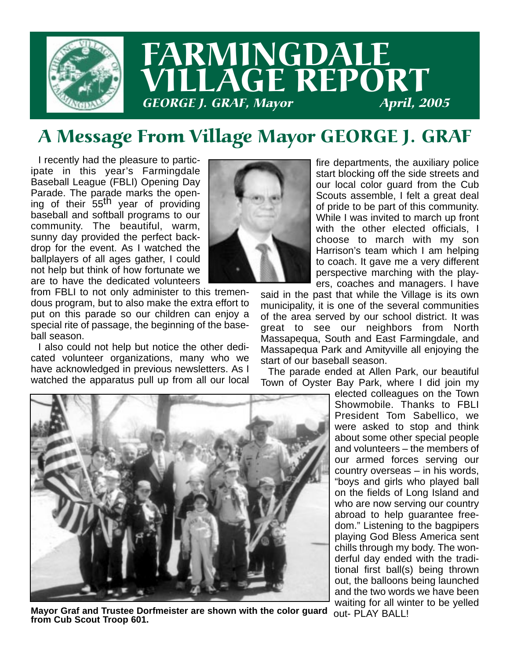

## A Message From Village Mayor GEORGE J. GRAF

I recently had the pleasure to participate in this year's Farmingdale Baseball League (FBLI) Opening Day Parade. The parade marks the opening of their 55<sup>th</sup> year of providing baseball and softball programs to our community. The beautiful, warm, sunny day provided the perfect backdrop for the event. As I watched the ballplayers of all ages gather, I could not help but think of how fortunate we are to have the dedicated volunteers



from FBLI to not only administer to this tremendous program, but to also make the extra effort to put on this parade so our children can enjoy a special rite of passage, the beginning of the baseball season.

I also could not help but notice the other dedicated volunteer organizations, many who we have acknowledged in previous newsletters. As I watched the apparatus pull up from all our local fire departments, the auxiliary police start blocking off the side streets and our local color guard from the Cub Scouts assemble, I felt a great deal of pride to be part of this community. While I was invited to march up front with the other elected officials, I choose to march with my son Harrison's team which I am helping to coach. It gave me a very different perspective marching with the players, coaches and managers. I have

said in the past that while the Village is its own municipality, it is one of the several communities of the area served by our school district. It was great to see our neighbors from North Massapequa, South and East Farmingdale, and Massapequa Park and Amityville all enjoying the start of our baseball season.

The parade ended at Allen Park, our beautiful Town of Oyster Bay Park, where I did join my

elected colleagues on the Town Showmobile. Thanks to FBLI President Tom Sabellico, we were asked to stop and think about some other special people and volunteers – the members of our armed forces serving our country overseas – in his words, "boys and girls who played ball on the fields of Long Island and who are now serving our country abroad to help guarantee freedom." Listening to the bagpipers playing God Bless America sent chills through my body. The wonderful day ended with the traditional first ball(s) being thrown out, the balloons being launched and the two words we have been waiting for all winter to be yelled out- PLAY BALL!



**Mayor Graf and Trustee Dorfmeister are shown with the color guard from Cub Scout Troop 601.**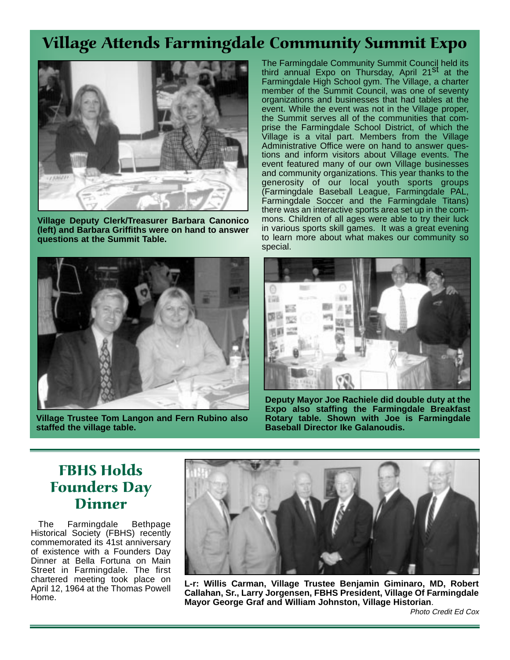## Village Attends Farmingdale Community Summit Expo



**Village Deputy Clerk/Treasurer Barbara Canonico (left) and Barbara Griffiths were on hand to answer questions at the Summit Table.**



**Village Trustee Tom Langon and Fern Rubino also staffed the village table.**

The Farmingdale Community Summit Council held its third annual Expo on Thursday, April 21<sup>St</sup> at the Farmingdale High School gym. The Village, a charter member of the Summit Council, was one of seventy organizations and businesses that had tables at the event. While the event was not in the Village proper, the Summit serves all of the communities that comprise the Farmingdale School District, of which the Village is a vital part. Members from the Village Administrative Office were on hand to answer questions and inform visitors about Village events. The event featured many of our own Village businesses and community organizations. This year thanks to the generosity of our local youth sports groups (Farmingdale Baseball League, Farmingdale PAL, Farmingdale Soccer and the Farmingdale Titans) there was an interactive sports area set up in the commons. Children of all ages were able to try their luck in various sports skill games. It was a great evening to learn more about what makes our community so special.



**Deputy Mayor Joe Rachiele did double duty at the Expo also staffing the Farmingdale Breakfast Rotary table. Shown with Joe is Farmingdale Baseball Director Ike Galanoudis.**

#### FBHS Holds Founders Day Dinner

The Farmingdale Bethpage Historical Society (FBHS) recently commemorated its 41st anniversary of existence with a Founders Day Dinner at Bella Fortuna on Main Street in Farmingdale. The first chartered meeting took place on April 12, 1964 at the Thomas Powell Home.



**L-r: Willis Carman, Village Trustee Benjamin Giminaro, MD, Robert Callahan, Sr., Larry Jorgensen, FBHS President, Village Of Farmingdale Mayor George Graf and William Johnston, Village Historian**.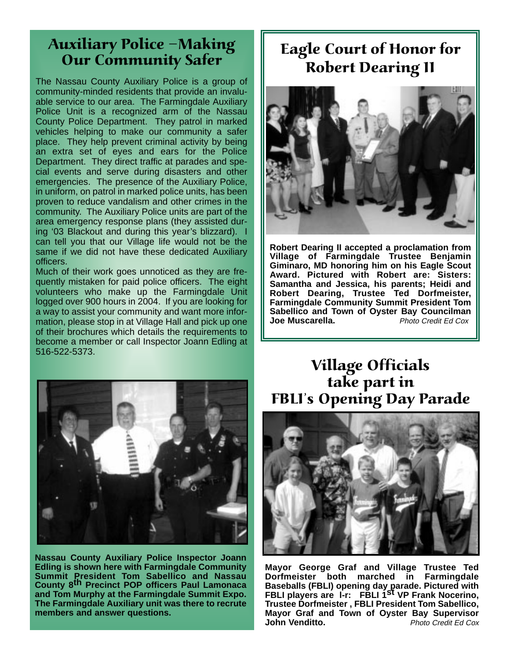#### Auxiliary Police -Making Our Community Safer

The Nassau County Auxiliary Police is a group of community-minded residents that provide an invaluable service to our area. The Farmingdale Auxiliary Police Unit is a recognized arm of the Nassau County Police Department. They patrol in marked vehicles helping to make our community a safer place. They help prevent criminal activity by being an extra set of eyes and ears for the Police Department. They direct traffic at parades and special events and serve during disasters and other emergencies. The presence of the Auxiliary Police, in uniform, on patrol in marked police units, has been proven to reduce vandalism and other crimes in the community. The Auxiliary Police units are part of the area emergency response plans (they assisted during '03 Blackout and during this year's blizzard). I can tell you that our Village life would not be the same if we did not have these dedicated Auxiliary officers.

Much of their work goes unnoticed as they are frequently mistaken for paid police officers. The eight volunteers who make up the Farmingdale Unit logged over 900 hours in 2004. If you are looking for a way to assist your community and want more information, please stop in at Village Hall and pick up one of their brochures which details the requirements to become a member or call Inspector Joann Edling at 516-522-5373.

### Eagle Court of Honor for Robert Dearing II



**Robert Dearing II accepted a proclamation from Village of Farmingdale Trustee Benjamin Giminaro, MD honoring him on his Eagle Scout Award. Pictured with Robert are: Sisters: Samantha and Jessica, his parents; Heidi and Robert Dearing, Trustee Ted Dorfmeister, Farmingdale Community Summit President Tom Sabellico and Town of Oyster Bay Councilman Joe Muscarella.** Photo Credit Ed Cox



**Nassau County Auxiliary Police Inspector Joann Edling is shown here with Farmingdale Community Summit President Tom Sabellico and Nassau County 8th Precinct POP officers Paul Lamonaca and Tom Murphy at the Farmingdale Summit Expo. The Farmingdale Auxiliary unit was there to recrute members and answer questions.**

#### Village Officials take part in FBLI's Opening Day Parade



**Mayor George Graf and Village Trustee Ted Dorfmeister both marched in Farmingdale Baseballs (FBLI) opening day parade. Pictured with FBLI players are l-r: FBLI 1st VP Frank Nocerino, Trustee Dorfmeister , FBLI President Tom Sabellico, Mayor Graf and Town of Oyster Bay Supervisor John Venditto. Photo Credit Ed Cox**